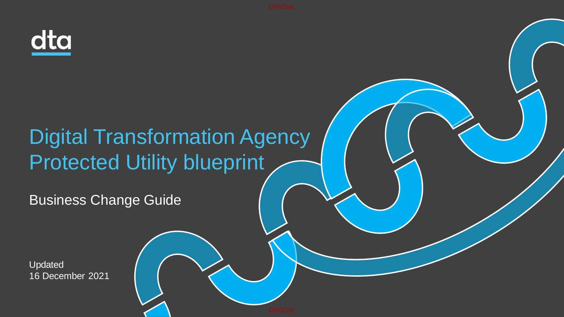

# Digital Transformation Agency Protected Utility blueprint

Business Change Guide

Updated 16 December 2021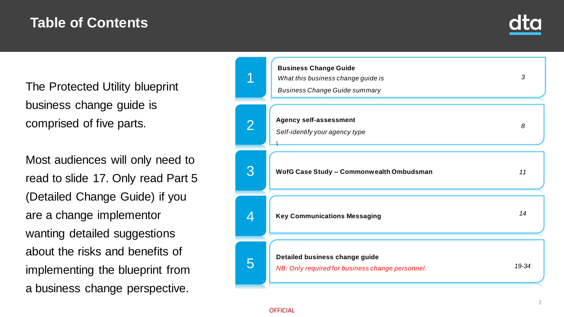## **Table of Contents**



The Protected Utility blueprint business change guide is comprised of five parts.

Most audiences will only need to read to slide 17. Only read Part 5 (Detailed Change Guide) if you are a change implementor wanting detailed suggestions about the risks and benefits of implementing the blueprint from a business change perspective.

|   | <b>Business Change Guide</b><br>What this business change guide is<br><b>Business Change Guide summary</b> | 3     |
|---|------------------------------------------------------------------------------------------------------------|-------|
| 2 | <b>Agency self-assessment</b><br>Self-identify your agency type                                            | 8     |
| 3 | WofG Case Study - Commonwealth Ombudsman                                                                   | 11    |
| 4 | <b>Key Communications Messaging</b>                                                                        | 14    |
| 5 | Detailed business change guide<br>NB: Only required for business change personnel.                         | 19-34 |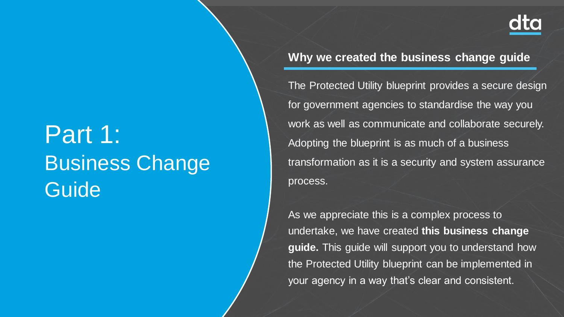# Part 1: Business Change Guide

**Why we created the business change guide**

The Protected Utility blueprint provides a secure design for government agencies to standardise the way you work as well as communicate and collaborate securely. Adopting the blueprint is as much of a business transformation as it is a security and system assurance process.

As we appreciate this is a complex process to undertake, we have created **this business change guide.** This guide will support you to understand how the Protected Utility blueprint can be implemented in your agency in a way that's clear and consistent.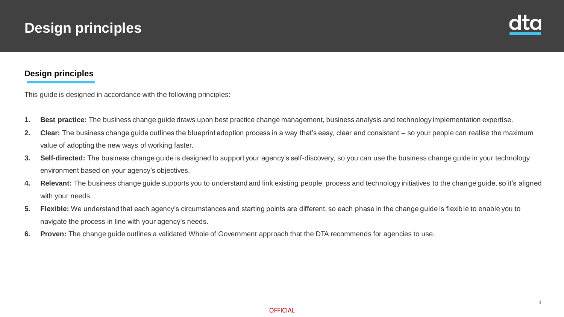## **Design principles**



## **Design principles**

This guide is designed in accordance with the following principles:

- **1. Best practice:** The business change guide draws upon best practice change management, business analysis and technology implementation expertise.
- **2. Clear:** The business change guide outlines the blueprint adoption process in a way that's easy, clear and consistent so your people can realise the maximum value of adopting the new ways of working faster.
- **3. Self-directed:** The business change guide is designed to support your agency's self-discovery, so you can use the business change guide in your technology environment based on your agency's objectives.
- **4. Relevant:** The business change guide supports you to understand and link existing people, process and technology initiatives to the change guide, so it's aligned with your needs.
- **5. Flexible:** We understand that each agency's circumstances and starting points are different, so each phase in the change guide is flexible to enable you to navigate the process in line with your agency's needs.
- **6. Proven:** The change guide outlines a validated Whole of Government approach that the DTA recommends for agencies to use.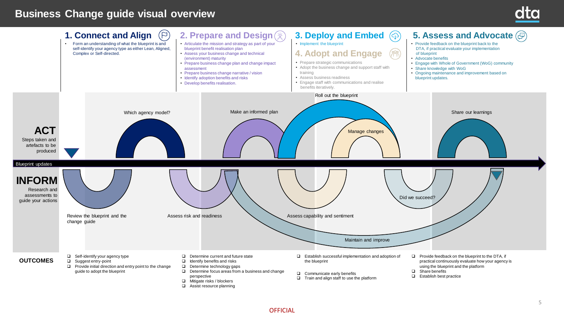## **Business Change guide visual overview**



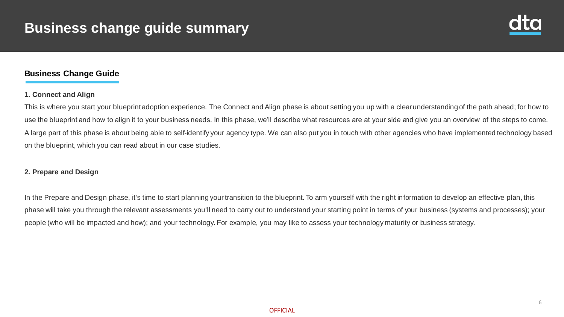

## **Business Change Guide**

### **1. Connect and Align**

This is where you start your blueprint adoption experience. The Connect and Align phase is about setting you up with a clear understanding of the path ahead; for how to use the blueprint and how to align it to your business needs. In this phase, we'll describe what resources are at your side and give you an overview of the steps to come. A large part of this phase is about being able to self-identify your agency type. We can also put you in touch with other agencies who have implemented technology based on the blueprint, which you can read about in our case studies.

## **2. Prepare and Design**

In the Prepare and Design phase, it's time to start planning your transition to the blueprint. To arm yourself with the right information to develop an effective plan, this phase will take you through the relevant assessments you'll need to carry out to understand your starting point in terms of your business (systems and processes); your people (who will be impacted and how); and your technology. For example, you may like to assess your technology maturity or business strategy.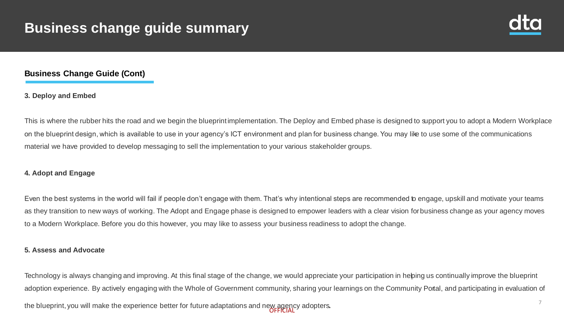

## **Business Change Guide (Cont)**

## **3. Deploy and Embed**

This is where the rubber hits the road and we begin the blueprint implementation. The Deploy and Embed phase is designed to support you to adopt a Modern Workplace on the blueprint design, which is available to use in your agency's ICT environment and plan for business change. You may like to use some of the communications material we have provided to develop messaging to sell the implementation to your various stakeholder groups.

## **4. Adopt and Engage**

Even the best systems in the world will fail if people don't engage with them. That's why intentional steps are recommended to engage, upskill and motivate your teams as they transition to new ways of working. The Adopt and Engage phase is designed to empower leaders with a clear vision for business change as your agency moves to a Modern Workplace. Before you do this however, you may like to assess your business readiness to adopt the change.

### **5. Assess and Advocate**

Technology is always changing and improving. At this final stage of the change, we would appreciate your participation in hebing us continually improve the blueprint adoption experience. By actively engaging with the Whole of Government community, sharing your learnings on the Community Portal, and participating in evaluation of

the blueprint, you will make the experience better for future adaptations and new agency adopters.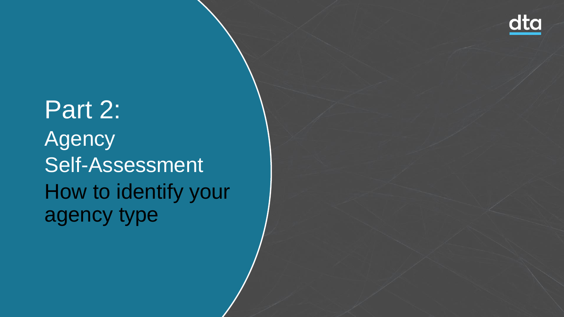

Part 2: Agency Self-Assessment How to identify your agency type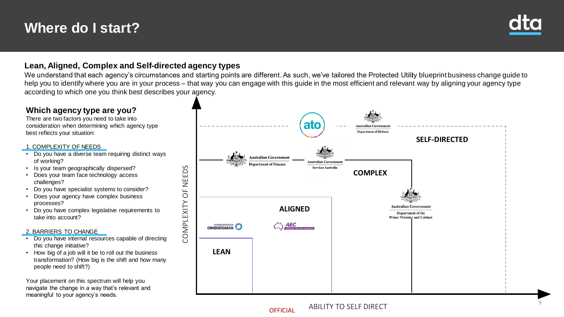## **Where do I start?**



## **Lean, Aligned, Complex and Self-directed agency types**

We understand that each agency's circumstances and starting points are different. As such, we've tailored the Protected Utility blueprint business change quide to help you to identify where you are in your process – that way you can engage with this guide in the most efficient and relevant way by aligning your agency type according to which one you think best describes your agency.

## **Which agency type are you?**

There are two factors you need to take into consideration when determining which agency type best reflects your situation:

### 1. COMPLEXITY OF NEEDS

- Do you have a diverse team requiring distinct ways of working?
- Is your team geographically dispersed?
- Does your team face technology access challenges?
- Do you have specialist systems to consider?
- Does your agency have complex business processes?
- Do you have complex legislative requirements to take into account?

### 2. BARRIERS TO CHANGE

- Do you have internal resources capable of directing this change initiative?
- How big of a job will it be to roll out the business transformation? (How big is the shift and how many people need to shift?)

Your placement on this spectrum will help you navigate the change in a way that's relevant and meaningful to your agency's needs.



**OFFICIAL**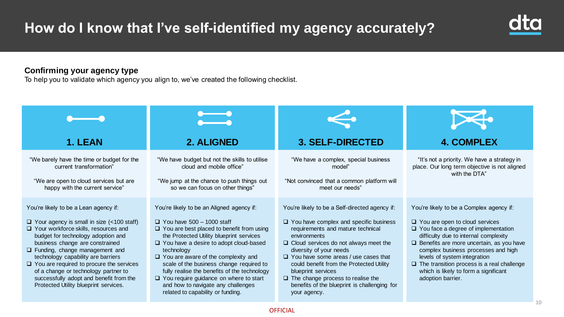

## **Confirming your agency type**

To help you to validate which agency you align to, we've created the following checklist.

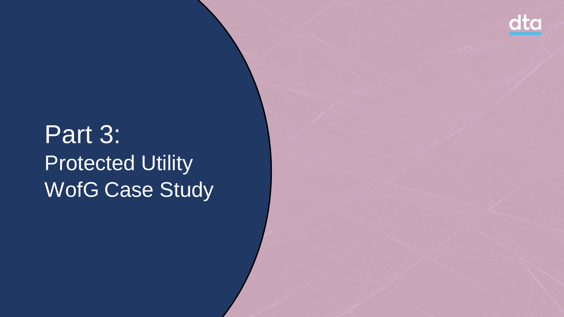

# Part 3: Protected Utility WofG Case Study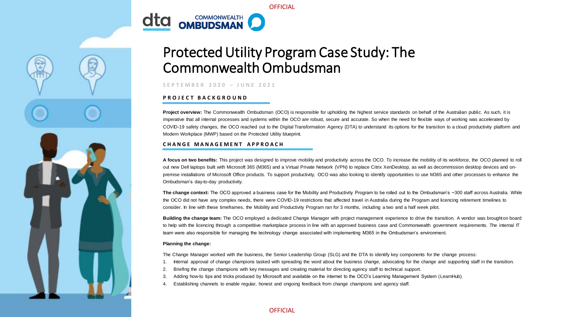

# Protected Utility Program Case Study: The

**OFFICIAL** 

## Commonwealth Ombudsman

**S E P T E M B E R 2 0 2 0 – J U N E 2021**

### **P R O J E C T B A C K G R O U N D**

**Project overview:** The Commonwealth Ombudsman (OCO) is responsible for upholding the highest service standards on behalf of the Australian public. As such, it is imperative that all internal processes and systems within the OCO are robust, secure and accurate. So when the need for flexible ways of working was accelerated by COVID-19 safety changes, the OCO reached out to the Digital Transformation Agency (DTA) to understand its options for the transition to a cloud productivity platform and Modern Workplace (MWP) based on the Protected Utility blueprint.

### **C H A N G E M A N A G E M E N T A P P R O A C H**

**A focus on two benefits:** This project was designed to improve mobility and productivity across the OCO. To increase the mobility of its workforce, the OCO planned to roll out new Dell laptops built with Microsoft 365 (M365) and a Virtual Private Network (VPN) to replace Citrix XenDesktop, as well as decommission desktop devices and onpremise installations of Microsoft Office products. To support productivity, OCO was also looking to identify opportunities to use M365 and other processes to enhance the Ombudsman's day-to-day productivity.

The change context: The OCO approved a business case for the Mobility and Productivity Program to be rolled out to the Ombudsman's ~300 staff across Australia. While the OCO did not have any complex needs, there were COVID-19 restrictions that affected travel in Australia during the Program and licencing retirement timelines to consider. In line with these timeframes, the Mobility and Productivity Program ran for 3 months, including a two and a half week pilot.

Building the change team: The OCO employed a dedicated Change Manager with project management experience to drive the transition. A vendor was brought on board to help with the licencing through a competitive marketplace process in line with an approved business case and Commonwealth government requirements. The internal IT team were also responsible for managing the technology change associated with implementing M365 in the Ombudsman's environment.

#### **Planning the change:**

The Change Manager worked with the business, the Senior Leadership Group (SLG) and the DTA to identify key components for the change process:

- 1. Internal approval of change champions tasked with spreading the word about the business change, advocating for the change and supporting staff in the transition.
- 2. Briefing the change champions with key messages and creating material for directing agency staff to technical support.
- 3. Adding how-to tips and tricks produced by Microsoft and available on the internet to the OCO's Learning Management System (LearnHub).
- 4. Establishing channels to enable regular, honest and ongoing feedback from change champions and agency staff.

**OFFICIAL**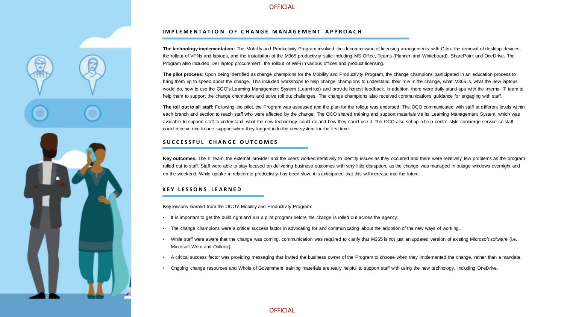

#### **IMPLEMENTATION OF CHANGE MANAGEMENT APPROACH**

**The technology implementation:** The Mobility and Productivity Program involved the decommission of licensing arrangements with Citrix, the removal of desktop devices, the rollout of VPNs and laptops, and the installation of the M365 productivity suite including MS Office, Teams (Planner and Whiteboard), SharePoint and OneDrive. The Program also included Dell laptop procurement, the rollout of WiFi in various offices and product licensing.

**The pilot process:** Upon being identified as change champions for the Mobility and Productivity Program, the change champions participated in an education process to bring them up to speed about the change. This included workshops to help change champions to understand their role in the change, what M365 is, what the new laptops would do, how to use the OCO's Learning Management System (LearnHub) and provide honest feedback. In addition, there were daily stand-ups with the internal IT team to help them to support the change champions and solve roll out challenges. The change champions also received communications guidance for engaging with staff.

The roll out to all staff: Following the pilot, the Program was assessed and the plan for the rollout was endorsed. The OCO communicated with staff at different levels within each branch and section to reach staff who were affected by the change. The OCO shared training and support materials via its Learning Management System, which was available to support staff to understand what the new technology could do and how they could use it. The OCO also set up a help centre style concierge service so staff could receive one-to-one support when they logged in to the new system for the first time.

#### **S U C C E S S F U L C H A N G E O U T C O M E S**

**Key outcomes:** The IT team, the external provider and the users worked iteratively to identify issues as they occurred and there were relatively few problems as the program rolled out to staff. Staff were able to stay focused on delivering business outcomes with very little disruption, as the change was managed in outage windows overnight and on the weekend. While uptake in relation to productivity has been slow, it is anticipated that this will increase into the future.

#### **K E Y L E S S O N S L E A R N E D**

Key lessons learned from the OCO's Mobility and Productivity Program:

- It is important to get the build right and run a pilot program before the change is rolled out across the agency.
- The change champions were a critical success factor in advocating for and communicating about the adoption of the new ways of working.
- While staff were aware that the change was coming, communication was required to clarify that M365 is not just an updated version of existing Microsoft software (i.e. Microsoft Word and Outlook).
- A critical success factor was providing messaging that invited the business owner of the Program to choose when they implemented the change, rather than a mandate.
- Ongoing change resources and Whole of Government training materials are really helpful to support staff with using the new technology, including OneDrive.

**OFFICIAL**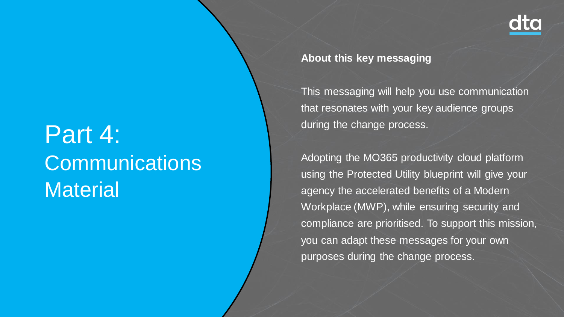

# Part 4: **Communications Material**

**About this key messaging**

This messaging will help you use communication that resonates with your key audience groups during the change process.

Adopting the MO365 productivity cloud platform using the Protected Utility blueprint will give your agency the accelerated benefits of a Modern Workplace (MWP), while ensuring security and compliance are prioritised. To support this mission, you can adapt these messages for your own purposes during the change process.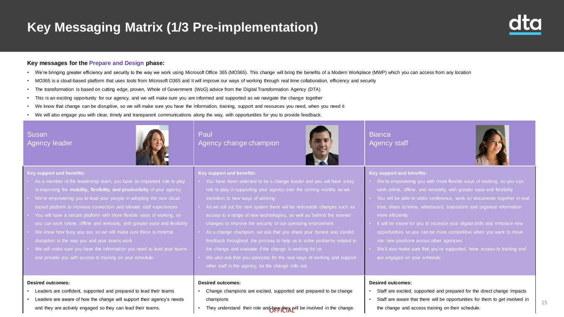## **Key Messaging Matrix (1/3 Pre-implementation)**

#### **Key messages for the Prepare and Design phase:**

- We're bringing greater efficiency and security to the way we work using Microsoft Office 365 (MO365). This change will bring the benefits of a Modern Workplace (MWP) which you can access from any location
- MO365 is a cloud-based platform that uses tools from Microsoft O365 and it will improve our ways of working through real time collaboration, efficiency and security
- The transformation is based on cutting edge, proven, Whole of Government (WoG) advice from the Digital Transformation Agency (DTA)
- This is an exciting opportunity for our agency, and we will make sure you are informed and supported as we navigate the change together
- We know that change can be disruptive, so we will make sure you have the information, training, support and resources you need, when you need it
- We will also engage you with clear, timely and transparent communications along the way, with opportunities for you to provide feedback.

| Susan                |  |
|----------------------|--|
| <b>Agency leader</b> |  |



### Paul Agency change champion

transition to new ways of working

**Key support and benefits:**

**Desired outcomes:**



### **Bianca** Agency staff



### **Key support and benefits:**

- We're empowering you with more flexible ways of working, so you can work online, offline, and remotely, with greater ease and flexibility
- You will be able to video conference, work on documents together in real time, share screens, whiteboard, brainstorm and organise information more efficiently
- It will be easier for you to increase your digital skills and embrace new opportunities so you can be more competitive when you want to move into new positions across other agencies
- We'll also make sure that you're supported, have access to training and are engaged on your schedule.

#### **Desired outcomes:**

- Staff are excited, supported and prepared for the direct change impacts
- Staff are aware that there will be opportunities for them to get involved in
- the change and access training on their schedule.

#### **Key support and benefits:**

- in improving the **mobility, flexibility and productivity** of your agency
- We're empowering you to lead your people in adopting the new cloud-
- You will have a secure platform with more flexible ways of working, so you can work online, offline and remotely, with greater ease and flexibility
- disruption to the way you and your teams work
- We will make sure you have the information you need to lead your teams

#### **Desired outcomes:**

- Leaders are confident, supported and prepared to lead their teams
- Leaders are aware of how the change will support their agency's needs and they are actively engaged so they can lead their teams.
- Change champions are excited, supported and prepared to be change champions

• We also ask that you advocate for the new ways of working and support

• You have been selected to be a change leader and you will have a key role to play in supporting your agency over the coming months as we

• As we roll out the new system there will be noticeable changes such as access to a range of new technologies, as well as 'behind the scenes'

changes to improve the security of our operating environment • As a change champion, we ask that you share your honest and candid feedback throughout the process to help us to solve problems related to

the change and evaluate if the change is working for us

other staff in the agency, as the change rolls out.

• They understand their role and hew they will be involved in the change.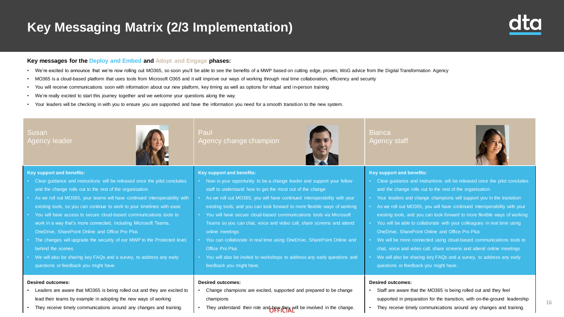## **Key Messaging Matrix (2/3 Implementation)**



#### **Key messages for the Deploy and Embed and Adopt and Engage phases:**

- We're excited to announce that we're now rolling out MO365, so soon you'll be able to see the benefits of a MWP based on cutting edge, proven, WoG advice from the Digital Transformation Agency
- MO365 is a cloud-based platform that uses tools from Microsoft O365 and it will improve our ways of working through real time collaboration, efficiency and security
- You will receive communications soon with information about our new platform, key timing as well as options for virtual and in-person training
- We're really excited to start this journey together and we welcome your questions along the way
- Your leaders will be checking in with you to ensure you are supported and have the information you need for a smooth transition to the new system.

| <b>Susan</b><br><b>Agency leader</b>                                                                                                                                                                                                                                                                                                                                                                                                                                                                                                                                                                                                                                                                        | Paul<br>Agency change champion                                                                                                                                                                                                                                                                                                                                                                                                                                                                                                                                                                                                                                             | <b>Bianca</b><br>Agency staff                                                                                                                                                                                                                                                                                                                                                                                                                                                                                                                                                                                                                                                                                                                                                   |
|-------------------------------------------------------------------------------------------------------------------------------------------------------------------------------------------------------------------------------------------------------------------------------------------------------------------------------------------------------------------------------------------------------------------------------------------------------------------------------------------------------------------------------------------------------------------------------------------------------------------------------------------------------------------------------------------------------------|----------------------------------------------------------------------------------------------------------------------------------------------------------------------------------------------------------------------------------------------------------------------------------------------------------------------------------------------------------------------------------------------------------------------------------------------------------------------------------------------------------------------------------------------------------------------------------------------------------------------------------------------------------------------------|---------------------------------------------------------------------------------------------------------------------------------------------------------------------------------------------------------------------------------------------------------------------------------------------------------------------------------------------------------------------------------------------------------------------------------------------------------------------------------------------------------------------------------------------------------------------------------------------------------------------------------------------------------------------------------------------------------------------------------------------------------------------------------|
| <b>Key support and benefits:</b>                                                                                                                                                                                                                                                                                                                                                                                                                                                                                                                                                                                                                                                                            | <b>Key support and benefits:</b>                                                                                                                                                                                                                                                                                                                                                                                                                                                                                                                                                                                                                                           | <b>Key support and benefits:</b>                                                                                                                                                                                                                                                                                                                                                                                                                                                                                                                                                                                                                                                                                                                                                |
| Clear guidance and instructions will be released once the pilot concludes<br>and the change rolls out to the rest of the organisation<br>As we roll out MO365, your teams will have continued interoperability with<br>existing tools, so you can continue to work to your timelines with ease<br>You will have access to secure cloud-based communications tools to<br>work in a way that's more connected, including Microsoft Teams,<br>OneDrive, SharePoint Online and Office Pro Plus<br>The changes will upgrade the security of our MWP to the Protected level,<br>behind the scenes<br>We will also be sharing key FAQs and a survey, to address any early<br>questions or feedback you might have. | Now is your opportunity to be a change leader and support your fellow<br>staff to understand how to get the most out of the change<br>As we roll out MO365, you will have continued interoperability with your<br>existing tools, and you can look forward to more flexible ways of working<br>You will have secure cloud-based communications tools via Microsoft<br>Teams so you can chat, voice and video call, share screens and attend<br>online meetings<br>You can collaborate in real time using OneDrive, SharePoint Online and<br><b>Office Pro Plus</b><br>You will also be invited to workshops to address any early questions and<br>feedback you might have. | • Clear guidance and instructions will be released once the pilot concludes<br>and the change rolls out to the rest of the organisation<br>• Your leaders and change champions will support you in the transition<br>• As we roll out MO365, you will have continued interoperability with your<br>existing tools, and you can look forward to more flexible ways of working<br>• You will be able to collaborate with your colleagues in real time using<br>OneDrive, SharePoint Online and Office Pro Plus<br>• We will be more connected using cloud-based communications tools to<br>chat, voice and video call, share screens and attend online meetings<br>• We will also be sharing key FAQs and a survey, to address any early<br>questions or feedback you might have. |
| <b>Desired outcomes:</b>                                                                                                                                                                                                                                                                                                                                                                                                                                                                                                                                                                                                                                                                                    | <b>Desired outcomes:</b>                                                                                                                                                                                                                                                                                                                                                                                                                                                                                                                                                                                                                                                   | <b>Desired outcomes:</b>                                                                                                                                                                                                                                                                                                                                                                                                                                                                                                                                                                                                                                                                                                                                                        |
| Leaders are aware that MO365 is being rolled out and they are excited to                                                                                                                                                                                                                                                                                                                                                                                                                                                                                                                                                                                                                                    | Change champions are excited, supported and prepared to be change                                                                                                                                                                                                                                                                                                                                                                                                                                                                                                                                                                                                          | Staff are aware that the MO365 is being rolled out and they feel<br>$\bullet$                                                                                                                                                                                                                                                                                                                                                                                                                                                                                                                                                                                                                                                                                                   |
| lead their teams by example in adopting the new ways of working                                                                                                                                                                                                                                                                                                                                                                                                                                                                                                                                                                                                                                             | champions                                                                                                                                                                                                                                                                                                                                                                                                                                                                                                                                                                                                                                                                  | supported in preparation for the transition, with on-the-ground leadership                                                                                                                                                                                                                                                                                                                                                                                                                                                                                                                                                                                                                                                                                                      |
| They receive timely communications around any changes and training.                                                                                                                                                                                                                                                                                                                                                                                                                                                                                                                                                                                                                                         | They understand their role and hew they will be involved in the change.                                                                                                                                                                                                                                                                                                                                                                                                                                                                                                                                                                                                    | They receive timely communications around any changes and training.<br>$\bullet$                                                                                                                                                                                                                                                                                                                                                                                                                                                                                                                                                                                                                                                                                                |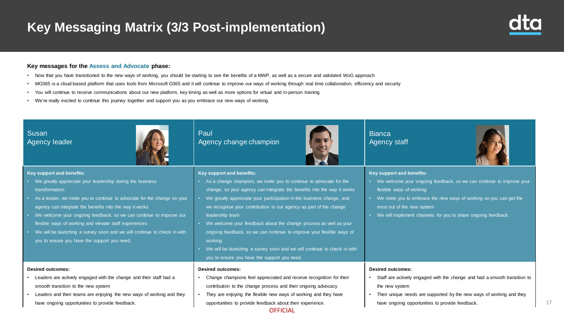## **Key Messaging Matrix (3/3 Post-implementation)**



17

#### **Key messages for the Assess and Advocate phase:**

- Now that you have transitioned to the new ways of working, you should be starting to see the benefits of a MWP, as well as a secure and validated WoG approach
- MO365 is a cloud-based platform that uses tools from Microsoft O365 and it will continue to improve our ways of working through real time collaboration, efficiency and security
- You will continue to receive communications about our new platform, key timing as well as more options for virtual and in-person training
- We're really excited to continue this journey together and support you as you embrace our new ways of working.

| Susan<br><b>Agency leader</b>                                                                                                                                                                                                                                                                                                                                                                                                                                                                                   | Paul<br>Agency change champion                                                                                                                                                                                                                                                                                                                                                                                                                                                                                                                                                                                                    | <b>Bianca</b><br>Agency staff                                                                                                                                                                                                                                                                       |
|-----------------------------------------------------------------------------------------------------------------------------------------------------------------------------------------------------------------------------------------------------------------------------------------------------------------------------------------------------------------------------------------------------------------------------------------------------------------------------------------------------------------|-----------------------------------------------------------------------------------------------------------------------------------------------------------------------------------------------------------------------------------------------------------------------------------------------------------------------------------------------------------------------------------------------------------------------------------------------------------------------------------------------------------------------------------------------------------------------------------------------------------------------------------|-----------------------------------------------------------------------------------------------------------------------------------------------------------------------------------------------------------------------------------------------------------------------------------------------------|
| Key support and benefits:<br>• We greatly appreciate your leadership during the business<br>transformation<br>As a leader, we invite you to continue to advocate for the change so your<br>agency can integrate the benefits into the way it works<br>We welcome your ongoing feedback, so we can continue to improve our<br>flexible ways of working and elevate staff experiences<br>We will be launching a survey soon and we will continue to check in with<br>you to ensure you have the support you need. | Key support and benefits:<br>As a change champion, we invite you to continue to advocate for the<br>change, so your agency can integrate the benefits into the way it works<br>We greatly appreciate your participation in the business change, and<br>we recognise your contribution to our agency as part of the change<br>leadership team<br>We welcome your feedback about the change process as well as your<br>ongoing feedback, so we can continue to improve your flexible ways of<br>working<br>We will be launching a survey soon and we will continue to check in with<br>you to ensure you have the support you need. | Key support and benefits:<br>We welcome your ongoing feedback, so we can continue to improve your<br>flexible ways of working<br>We invite you to embrace the new ways of working so you can get the<br>most out of the new system<br>We will implement channels for you to share ongoing feedback. |
| <b>Desired outcomes:</b><br>• Leaders are actively engaged with the change and their staff had a<br>smooth transition to the new system<br>Leaders and their teams are enjoying the new ways of working and they<br>have ongoing opportunities to provide feedback.                                                                                                                                                                                                                                             | <b>Desired outcomes:</b><br>Change champions feel appreciated and receive recognition for their<br>contribution to the change process and their ongoing advocacy<br>They are enjoying the flexible new ways of working and they have<br>opportunities to provide feedback about their experience.<br><b>OFFICIAL</b>                                                                                                                                                                                                                                                                                                              | <b>Desired outcomes:</b><br>Staff are actively engaged with the change and had a smooth transition to<br>the new system<br>Their unique needs are supported by the new ways of working and they<br>have ongoing opportunities to provide feedback.                                                  |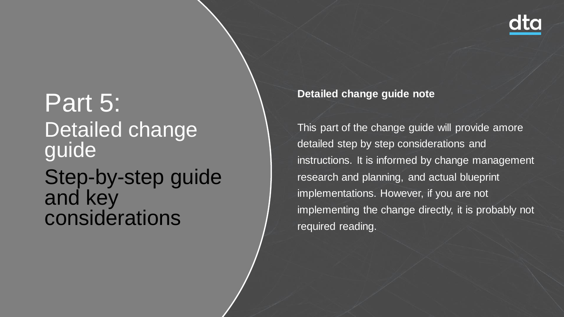

# Part 5: Detailed change guide Step-by-step guide

and key considerations **Detailed change guide note**

This part of the change guide will provide amore detailed step by step considerations and instructions. It is informed by change management research and planning, and actual blueprint implementations. However, if you are not implementing the change directly, it is probably not required reading.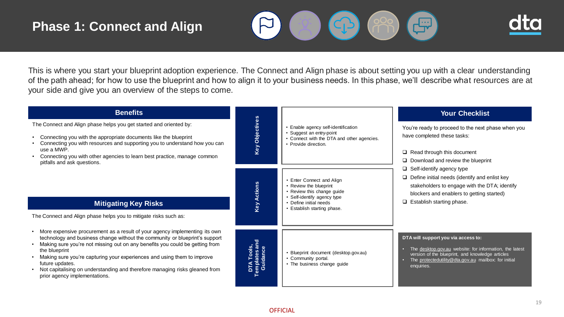## **Phase 1: Connect and Align**





This is where you start your blueprint adoption experience. The Connect and Align phase is about setting you up with a clear understanding of the path ahead; for how to use the blueprint and how to align it to your business needs. In this phase, we'll describe what resources are at your side and give you an overview of the steps to come.

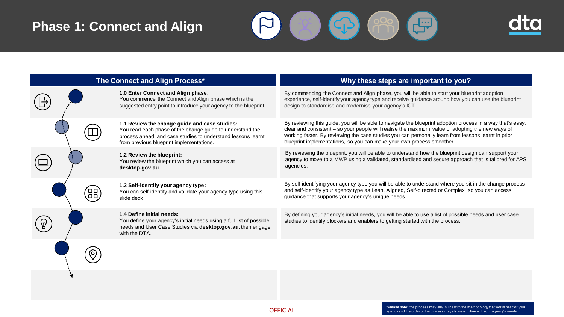## **Phase 1: Connect and Align**





|                             | The Connect and Align Process*                                                                                                                                                                                         | Why these steps are important to you?                                                                                                                                                                                                                                                                                                                                                          |
|-----------------------------|------------------------------------------------------------------------------------------------------------------------------------------------------------------------------------------------------------------------|------------------------------------------------------------------------------------------------------------------------------------------------------------------------------------------------------------------------------------------------------------------------------------------------------------------------------------------------------------------------------------------------|
|                             | 1.0 Enter Connect and Align phase:<br>You commence the Connect and Align phase which is the<br>suggested entry point to introduce your agency to the blueprint.                                                        | By commencing the Connect and Align phase, you will be able to start your blueprint adoption<br>experience, self-identify your agency type and receive guidance around how you can use the blueprint<br>design to standardise and modernise your agency's ICT.                                                                                                                                 |
|                             | 1.1 Review the change guide and case studies:<br>You read each phase of the change guide to understand the<br>process ahead, and case studies to understand lessons learnt<br>from previous blueprint implementations. | By reviewing this guide, you will be able to navigate the blueprint adoption process in a way that's easy,<br>clear and consistent - so your people will realise the maximum value of adopting the new ways of<br>working faster. By reviewing the case studies you can personally learn from lessons learnt in prior<br>blueprint implementations, so you can make your own process smoother. |
|                             | 1.2 Review the blueprint:<br>You review the blueprint which you can access at<br>desktop.gov.au.                                                                                                                       | By reviewing the blueprint, you will be able to understand how the blueprint design can support your<br>agency to move to a MWP using a validated, standardised and secure approach that is tailored for APS<br>agencies.                                                                                                                                                                      |
| ᄆ<br>$\square$<br>$\square$ | 1.3 Self-identify your agency type:<br>You can self-identify and validate your agency type using this<br>slide deck                                                                                                    | By self-identifying your agency type you will be able to understand where you sit in the change process<br>and self-identify your agency type as Lean, Aligned, Self-directed or Complex, so you can access<br>guidance that supports your agency's unique needs.                                                                                                                              |
|                             | 1.4 Define initial needs:<br>You define your agency's initial needs using a full list of possible<br>needs and User Case Studies via desktop.gov.au, then engage<br>with the DTA.                                      | By defining your agency's initial needs, you will be able to use a list of possible needs and user case<br>studies to identify blockers and enablers to getting started with the process.                                                                                                                                                                                                      |
|                             |                                                                                                                                                                                                                        |                                                                                                                                                                                                                                                                                                                                                                                                |
|                             |                                                                                                                                                                                                                        |                                                                                                                                                                                                                                                                                                                                                                                                |

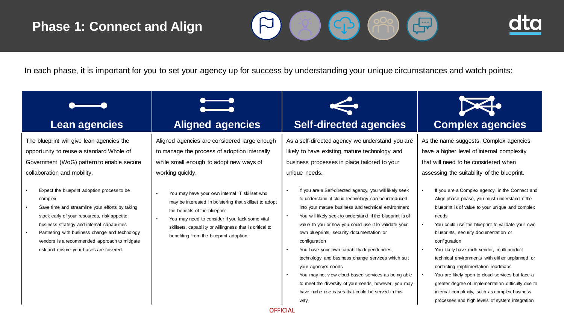## **Phase 1: Connect and Align**





In each phase, it is important for you to set your agency up for success by understanding your unique circumstances and watch points:

The blueprint will give lean agencies the opportunity to reuse a standard Whole of Government (WoG) pattern to enable secure collaboration and mobility.

- Expect the blueprint adoption process to be complex
- Save time and streamline your efforts by taking stock early of your resources, risk appetite, business strategy and internal capabilities
- Partnering with business change and technology vendors is a recommended approach to mitigate risk and ensure your bases are covered.

Aligned agencies are considered large enough to manage the process of adoption internally while small enough to adopt new ways of working quickly.

- You may have your own internal IT skillset who may be interested in bolstering that skillset to adopt the benefits of the blueprint
- You may need to consider if you lack some vital skillsets, capability or willingness that is critical to benefiting from the blueprint adoption.

As a self-directed agency we understand you are likely to have existing mature technology and business processes in place tailored to your unique needs.

- If you are a Self-directed agency, you will likely seek to understand if cloud technology can be introduced into your mature business and technical environment • You will likely seek to understand if the blueprint is of value to you or how you could use it to validate your own blueprints, security documentation or configuration
- You have your own capability dependencies, technology and business change services which suit your agency's needs
- You may not view cloud-based services as being able to meet the diversity of your needs, however, you may have niche use cases that could be served in this



As the name suggests, Complex agencies have a higher level of internal complexity that will need to be considered when assessing the suitability of the blueprint.

- If you are a Complex agency, in the Connect and Align phase phase, you must understand if the blueprint is of value to your unique and complex needs
- You could use the blueprint to validate your own blueprints, security documentation or configuration
- You likely have multi-vendor, multi-product technical environments with either unplanned or conflicting implementation roadmaps
- You are likely open to cloud services but face a greater degree of implementation difficulty due to internal complexity, such as complex business processes and high levels of system integration.

### **OFFICIAL**

way.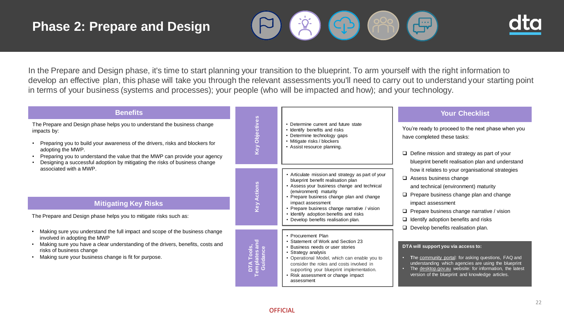$\overline{\phantom{a}}$ 





In the Prepare and Design phase, it's time to start planning your transition to the blueprint. To arm yourself with the right information to develop an effective plan, this phase will take you through the relevant assessments you'll need to carry out to understand your starting point in terms of your business (systems and processes); your people (who will be impacted and how); and your technology.

| <b>Benefits</b>                                                                                                                                                                                                                                                                                                                                          |                                                       |                                                                                                                                                                                                                                                                                                                                                                      | <b>Your Checklist</b>                                                                                                                                                                                                                                                                                                                                                                                                                                                                                                                                                                                                  |
|----------------------------------------------------------------------------------------------------------------------------------------------------------------------------------------------------------------------------------------------------------------------------------------------------------------------------------------------------------|-------------------------------------------------------|----------------------------------------------------------------------------------------------------------------------------------------------------------------------------------------------------------------------------------------------------------------------------------------------------------------------------------------------------------------------|------------------------------------------------------------------------------------------------------------------------------------------------------------------------------------------------------------------------------------------------------------------------------------------------------------------------------------------------------------------------------------------------------------------------------------------------------------------------------------------------------------------------------------------------------------------------------------------------------------------------|
| The Prepare and Design phase helps you to understand the business change<br>impacts by:<br>Preparing you to build your awareness of the drivers, risks and blockers for<br>adopting the MWP.<br>Preparing you to understand the value that the MWP can provide your agency<br>Designing a successful adoption by mitigating the risks of business change | <b>Key Obje</b>                                       | • Determine current and future state<br>• Identify benefits and risks<br>• Determine technology gaps<br>• Mitigate risks / blockers<br>• Assist resource planning.                                                                                                                                                                                                   | You're ready to proceed to the next phase when you<br>have completed these tasks:<br>$\Box$ Define mission and strategy as part of your<br>blueprint benefit realisation plan and understand                                                                                                                                                                                                                                                                                                                                                                                                                           |
| associated with a MWP.<br><b>Mitigating Key Risks</b><br>The Prepare and Design phase helps you to mitigate risks such as:                                                                                                                                                                                                                               |                                                       | • Articulate mission and strategy as part of your<br>blueprint benefit realisation plan<br>• Assess your business change and technical<br>(environment) maturity<br>• Prepare business change plan and change<br>impact assessment<br>• Prepare business change narrative / vision<br>• Identify adoption benefits and risks<br>• Develop benefits realisation plan. | how it relates to your organisational strategies<br>$\Box$ Assess business change<br>and technical (environment) maturity<br>$\Box$ Prepare business change plan and change<br>impact assessment<br>$\Box$ Prepare business change narrative / vision<br>$\Box$ Identify adoption benefits and risks<br>$\Box$ Develop benefits realisation plan.<br>DTA will support you via access to:<br>The community portal: for asking questions, FAQ and<br>understanding which agencies are using the blueprint<br>The desktop.gov.au website: for information, the latest<br>version of the blueprint and knowledge articles. |
| Making sure you understand the full impact and scope of the business change<br>involved in adopting the MWP<br>Making sure you have a clear understanding of the drivers, benefits, costs and<br>risks of business change<br>Making sure your business change is fit for purpose.                                                                        | . Tools,<br>lates ar<br>dance<br><b>DTA</b><br>E e di | • Procurement Plan<br>• Statement of Work and Section 23<br>• Business needs or user stories<br>• Strategy analysis<br>• Operational Model, which can enable you to<br>consider the roles and costs involved in<br>supporting your blueprint implementation.<br>• Risk assessment or change impact<br>assessment                                                     |                                                                                                                                                                                                                                                                                                                                                                                                                                                                                                                                                                                                                        |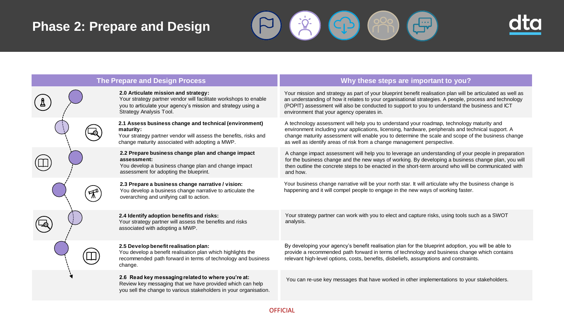## **Phase 2: Prepare and Design**





| The Prepare and Design Process |                                                                                                                                                                                                     | Why these steps are important to you?                                                                                                                                                                                                                                                                                                                                            |
|--------------------------------|-----------------------------------------------------------------------------------------------------------------------------------------------------------------------------------------------------|----------------------------------------------------------------------------------------------------------------------------------------------------------------------------------------------------------------------------------------------------------------------------------------------------------------------------------------------------------------------------------|
|                                | 2.0 Articulate mission and strategy:<br>Your strategy partner vendor will facilitate workshops to enable<br>you to articulate your agency's mission and strategy using a<br>Strategy Analysis Tool. | Your mission and strategy as part of your blueprint benefit realisation plan will be articulated as well as<br>an understanding of how it relates to your organisational strategies. A people, process and technology<br>(POPIT) assessment will also be conducted to support to you to understand the business and ICT<br>environment that your agency operates in.             |
|                                | 2.1 Assess business change and technical (environment)<br>maturity:<br>Your strategy partner vendor will assess the benefits, risks and<br>change maturity associated with adopting a MWP.          | A technology assessment will help you to understand your roadmap, technology maturity and<br>environment including your applications, licensing, hardware, peripherals and technical support. A<br>change maturity assessment will enable you to determine the scale and scope of the business change<br>as well as identify areas of risk from a change management perspective. |
|                                | 2.2 Prepare business change plan and change impact<br>assessment:<br>You develop a business change plan and change impact<br>assessment for adopting the blueprint.                                 | A change impact assessment will help you to leverage an understanding of your people in preparation<br>for the business change and the new ways of working. By developing a business change plan, you will<br>then outline the concrete steps to be enacted in the short-term around who will be communicated with<br>and how.                                                   |
|                                | 2.3 Prepare a business change narrative / vision:<br>You develop a business change narrative to articulate the<br>overarching and unifying call to action.                                          | Your business change narrative will be your north star. It will articulate why the business change is<br>happening and it will compel people to engage in the new ways of working faster.                                                                                                                                                                                        |
|                                | 2.4 Identify adoption benefits and risks:<br>Your strategy partner will assess the benefits and risks<br>associated with adopting a MWP.                                                            | Your strategy partner can work with you to elect and capture risks, using tools such as a SWOT<br>analysis.                                                                                                                                                                                                                                                                      |
|                                | 2.5 Develop benefit realisation plan:<br>You develop a benefit realisation plan which highlights the<br>recommended path forward in terms of technology and business<br>change.                     | By developing your agency's benefit realisation plan for the blueprint adoption, you will be able to<br>provide a recommended path forward in terms of technology and business change which contains<br>relevant high-level options, costs, benefits, disbeliefs, assumptions and constraints.                                                                                   |
|                                | 2.6 Read key messaging related to where you're at:<br>Review key messaging that we have provided which can help<br>you sell the change to various stakeholders in your organisation.                | You can re-use key messages that have worked in other implementations to your stakeholders.                                                                                                                                                                                                                                                                                      |

OFFICIAL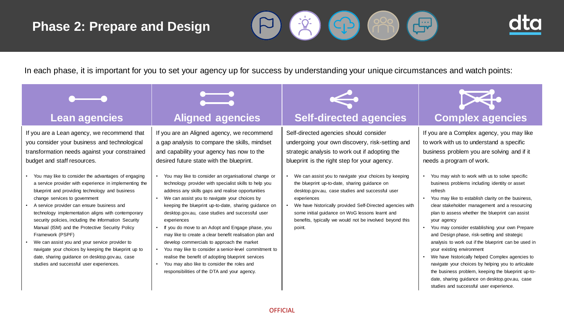## **Phase 2: Prepare and Design**





In each phase, it is important for you to set your agency up for success by understanding your unique circumstances and watch points:

If you are a Lean agency, we recommend that you consider your business and technological transformation needs against your constrained budget and staff resources.

- You may like to consider the advantages of engaging a service provider with experience in implementing the blueprint and providing technology and business change services to government
- A service provider can ensure business and technology implementation aligns with contemporary security policies, including the Information Security Manual (ISM) and the Protective Security Policy Framework (PSPF)
- We can assist you and your service provider to navigate your choices by keeping the blueprint up to date, sharing guidance on desktop.gov.au, case studies and successful user experiences.



If you are an Aligned agency, we recommend a gap analysis to compare the skills, mindset and capability your agency has now to the desired future state with the blueprint.

- You may like to consider an organisational change or technology provider with specialist skills to help you address any skills gaps and realise opportunities
- We can assist you to navigate your choices by keeping the blueprint up-to-date, sharing guidance on desktop.gov.au, case studies and successful user experiences
- If you do move to an Adopt and Engage phase, you may like to create a clear benefit realisation plan and develop commercials to approach the market
- You may like to consider a senior-level commitment to realise the benefit of adopting blueprint services
- You may also like to consider the roles and responsibilities of the DTA and your agency.



## **Lean agencies The Aligned agencies Theory Self-directed agencies | Complex agencies**

Self-directed agencies should consider undergoing your own discovery, risk-setting and strategic analysis to work out if adopting the blueprint is the right step for your agency.

- We can assist you to navigate your choices by keeping the blueprint up-to-date, sharing guidance on desktop.gov.au, case studies and successful user experiences
- We have historically provided Self-Directed agencies with some initial guidance on WoG lessons learnt and benefits, typically we would not be involved beyond this point.



If you are a Complex agency, you may like to work with us to understand a specific business problem you are solving and if it needs a program of work.

- You may wish to work with us to solve specific business problems including identity or asset refresh
- You may like to establish clarity on the business, clear stakeholder management and a resourcing plan to assess whether the blueprint can assist your agency
- You may consider establishing your own Prepare and Design phase, risk-setting and strategic analysis to work out if the blueprint can be used in your existing environment
- We have historically helped Complex agencies to navigate your choices by helping you to articulate the business problem, keeping the blueprint up-todate, sharing guidance on desktop.gov.au, case studies and successful user experience.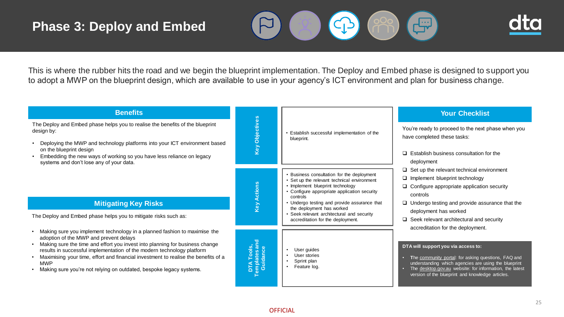## **Phase 3: Deploy and Embed**





This is where the rubber hits the road and we begin the blueprint implementation. The Deploy and Embed phase is designed to support you to adopt a MWP on the blueprint design, which are available to use in your agency's ICT environment and plan for business change.

| <b>Benefits</b>                                                                                                                                                                                                                                                                                                                                                                                                                                          |                                         |                                                                                                                                                                                                                                                                        | <b>Your Checklist</b>                                                                                                                                                                                                                                                                                  |
|----------------------------------------------------------------------------------------------------------------------------------------------------------------------------------------------------------------------------------------------------------------------------------------------------------------------------------------------------------------------------------------------------------------------------------------------------------|-----------------------------------------|------------------------------------------------------------------------------------------------------------------------------------------------------------------------------------------------------------------------------------------------------------------------|--------------------------------------------------------------------------------------------------------------------------------------------------------------------------------------------------------------------------------------------------------------------------------------------------------|
| The Deploy and Embed phase helps you to realise the benefits of the blueprint<br>design by:<br>Deploying the MWP and technology platforms into your ICT environment based<br>on the blueprint design<br>Embedding the new ways of working so you have less reliance on legacy<br>systems and don't lose any of your data.                                                                                                                                | Key Objectives                          | Establish successful implementation of the<br>blueprint.                                                                                                                                                                                                               | You're ready to proceed to the next phase when you<br>have completed these tasks:<br>$\Box$ Establish business consultation for the<br>deployment                                                                                                                                                      |
| <b>Mitigating Key Risks</b>                                                                                                                                                                                                                                                                                                                                                                                                                              | <b>Key Actions</b>                      | • Business consultation for the deployment<br>• Set up the relevant technical environment<br>• Implement blueprint technology<br>• Configure appropriate application security<br>controls<br>• Undergo testing and provide assurance that<br>the deployment has worked | $\Box$ Set up the relevant technical environment<br>$\Box$ Implement blueprint technology<br>$\Box$ Configure appropriate application security<br>controls<br>$\Box$ Undergo testing and provide assurance that the                                                                                    |
| The Deploy and Embed phase helps you to mitigate risks such as:                                                                                                                                                                                                                                                                                                                                                                                          |                                         | Seek relevant architectural and security<br>accreditation for the deployment.                                                                                                                                                                                          | deployment has worked<br>$\Box$ Seek relevant architectural and security                                                                                                                                                                                                                               |
| Making sure you implement technology in a planned fashion to maximise the<br>adoption of the MWP and prevent delays<br>Making sure the time and effort you invest into planning for business change<br>results in successful implementation of the modern technology platform<br>Maximising your time, effort and financial investment to realise the benefits of a<br><b>MWP</b><br>Making sure you're not relying on outdated, bespoke legacy systems. | DTA Tools,<br>Templates and<br>Guidance | User guides<br>User stories<br>Sprint plan<br>Feature log.                                                                                                                                                                                                             | accreditation for the deployment.<br>DTA will support you via access to:<br>The community portal: for asking questions, FAQ and<br>understanding which agencies are using the blueprint<br>The desktop.gov.au website: for information, the latest<br>version of the blueprint and knowledge articles. |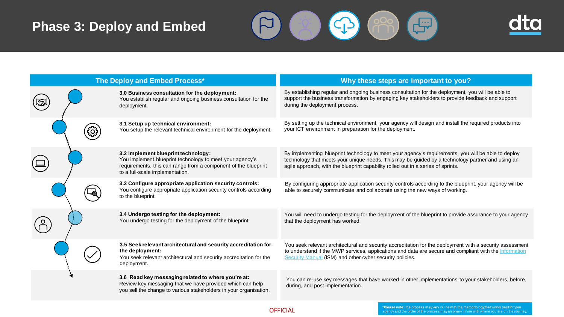## **Phase 3: Deploy and Embed**





| The Deploy and Embed Process* |                                                                                                                                                                                                      | Why these steps are important to you?                                                                                                                                                                                                                                                       |
|-------------------------------|------------------------------------------------------------------------------------------------------------------------------------------------------------------------------------------------------|---------------------------------------------------------------------------------------------------------------------------------------------------------------------------------------------------------------------------------------------------------------------------------------------|
|                               | 3.0 Business consultation for the deployment:<br>You establish regular and ongoing business consultation for the<br>deployment.                                                                      | By establishing regular and ongoing business consultation for the deployment, you will be able to<br>support the business transformation by engaging key stakeholders to provide feedback and support<br>during the deployment process.                                                     |
|                               | 3.1 Setup up technical environment:<br>You setup the relevant technical environment for the deployment.                                                                                              | By setting up the technical environment, your agency will design and install the required products into<br>your ICT environment in preparation for the deployment.                                                                                                                          |
|                               | 3.2 Implement blueprint technology:<br>You implement blueprint technology to meet your agency's<br>requirements, this can range from a component of the blueprint<br>to a full-scale implementation. | By implementing blueprint technology to meet your agency's requirements, you will be able to deploy<br>technology that meets your unique needs. This may be guided by a technology partner and using an<br>agile approach, with the blueprint capability rolled out in a series of sprints. |
|                               | 3.3 Configure appropriate application security controls:<br>You configure appropriate application security controls according<br>to the blueprint.                                                   | By configuring appropriate application security controls according to the blueprint, your agency will be<br>able to securely communicate and collaborate using the new ways of working.                                                                                                     |
|                               | 3.4 Undergo testing for the deployment:<br>You undergo testing for the deployment of the blueprint.                                                                                                  | You will need to undergo testing for the deployment of the blueprint to provide assurance to your agency<br>that the deployment has worked.                                                                                                                                                 |
|                               | 3.5 Seek relevant architectural and security accreditation for<br>the deployment:<br>You seek relevant architectural and security accreditation for the<br>deployment.                               | You seek relevant architectural and security accreditation for the deployment with a security assessment<br>to understand if the MWP services, applications and data are secure and compliant with the Information<br>Security Manual (ISM) and other cyber security policies.              |
|                               | 3.6 Read key messaging related to where you're at:<br>Review key messaging that we have provided which can help<br>you sell the change to various stakeholders in your organisation.                 | You can re-use key messages that have worked in other implementations to your stakeholders, before,<br>during, and post implementation.                                                                                                                                                     |

OFFICIAL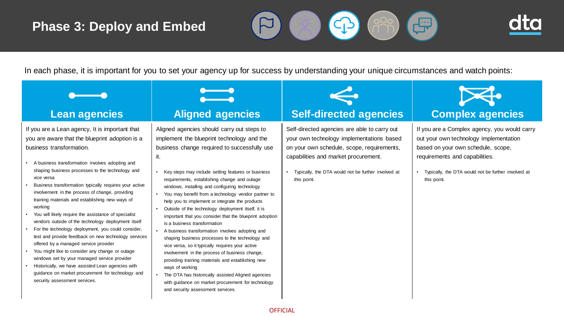## **Phase 3: Deploy and Embed**





In each phase, it is important for you to set your agency up for success by understanding your unique circumstances and watch points:

| <b>Lean agencies</b>                                                                                                                                                                                                                                                                                                                                                                                                                                                                                                                                                                                                                                                                                                                                                                                                                                                                                                                             | <b>Aligned agencies</b>                                                                                                                                                                                                                                                                                                                                                                                                                                                                                                                                                                                                                                                                                                                                                                                                                                                                                                                                                                                  | <b>Self-directed agencies</b>                                                                                                                                                                                                                         | <b>Complex agencies</b>                                                                                                                                                                                                                |  |
|--------------------------------------------------------------------------------------------------------------------------------------------------------------------------------------------------------------------------------------------------------------------------------------------------------------------------------------------------------------------------------------------------------------------------------------------------------------------------------------------------------------------------------------------------------------------------------------------------------------------------------------------------------------------------------------------------------------------------------------------------------------------------------------------------------------------------------------------------------------------------------------------------------------------------------------------------|----------------------------------------------------------------------------------------------------------------------------------------------------------------------------------------------------------------------------------------------------------------------------------------------------------------------------------------------------------------------------------------------------------------------------------------------------------------------------------------------------------------------------------------------------------------------------------------------------------------------------------------------------------------------------------------------------------------------------------------------------------------------------------------------------------------------------------------------------------------------------------------------------------------------------------------------------------------------------------------------------------|-------------------------------------------------------------------------------------------------------------------------------------------------------------------------------------------------------------------------------------------------------|----------------------------------------------------------------------------------------------------------------------------------------------------------------------------------------------------------------------------------------|--|
| If you are a Lean agency, It is important that<br>you are aware that the blueprint adoption is a<br>business transformation.<br>A business transformation involves adopting and<br>shaping business processes to the technology and<br>vice versa<br>Business transformation typically requires your active<br>involvement in the process of change, providing<br>training materials and establishing new ways of<br>working<br>You will likely require the assistance of specialist<br>vendors outside of the technology deployment itself<br>For the technology deployment, you could consider,<br>test and provide feedback on new technology services<br>offered by a managed service provider<br>You might like to consider any change or outage<br>windows set by your managed service provider<br>Historically, we have assisted Lean agencies with<br>guidance on market procurement for technology and<br>security assessment services. | Aligned agencies should carry out steps to<br>implement the blueprint technology and the<br>business change required to successfully use<br>it.<br>Key steps may include setting features or business<br>requirements, establishing change and outage<br>windows, installing and configuring technology<br>You may benefit from a technology vendor partner to<br>help you to implement or integrate the products<br>Outside of the technology deployment itself, it is<br>important that you consider that the blueprint adoption<br>is a business transformation<br>A business transformation involves adopting and<br>shaping business processes to the technology and<br>vice versa, so it typically requires your active<br>involvement in the process of business change,<br>providing training materials and establishing new<br>ways of working<br>The DTA has historically assisted Aligned agencies<br>with guidance on market procurement for technology<br>and security assessment services. | Self-directed agencies are able to carry out<br>your own technology implementations based<br>on your own schedule, scope, requirements,<br>capabilities and market procurement.<br>Typically, the DTA would not be further involved at<br>this point. | If you are a Complex agency, you would carry<br>out your own technology implementation<br>based on your own schedule, scope,<br>requirements and capabilities.<br>• Typically, the DTA would not be further involved at<br>this point. |  |
| <b>OFFICIAL</b>                                                                                                                                                                                                                                                                                                                                                                                                                                                                                                                                                                                                                                                                                                                                                                                                                                                                                                                                  |                                                                                                                                                                                                                                                                                                                                                                                                                                                                                                                                                                                                                                                                                                                                                                                                                                                                                                                                                                                                          |                                                                                                                                                                                                                                                       |                                                                                                                                                                                                                                        |  |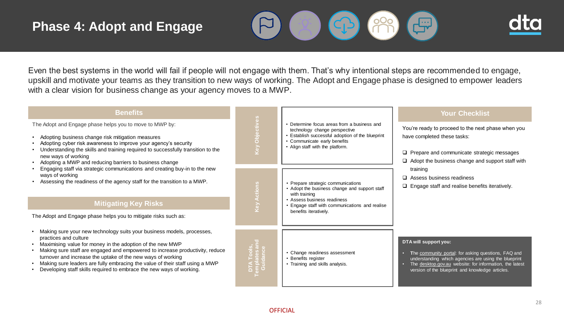## **Phase 4: Adopt and Engage**





Even the best systems in the world will fail if people will not engage with them. That's why intentional steps are recommended to engage, upskill and motivate your teams as they transition to new ways of working. The Adopt and Engage phase is designed to empower leaders with a clear vision for business change as your agency moves to a MWP.

| <b>Benefits</b>                                                                                                                                                                                                                                                                                                                                                                                                                                                     |                                                                                                                                                                                                                           |                                                                                                                                                                                                                | <b>Your Checklist</b>                                                                                                                                                                                                                               |
|---------------------------------------------------------------------------------------------------------------------------------------------------------------------------------------------------------------------------------------------------------------------------------------------------------------------------------------------------------------------------------------------------------------------------------------------------------------------|---------------------------------------------------------------------------------------------------------------------------------------------------------------------------------------------------------------------------|----------------------------------------------------------------------------------------------------------------------------------------------------------------------------------------------------------------|-----------------------------------------------------------------------------------------------------------------------------------------------------------------------------------------------------------------------------------------------------|
| The Adopt and Engage phase helps you to move to MWP by:<br>Adopting business change risk mitigation measures<br>Adopting cyber risk awareness to improve your agency's security<br>Understanding the skills and training required to successfully transition to the<br>new ways of working<br>Adopting a MWP and reducing barriers to business change                                                                                                               | Objectives<br>• Determine focus areas from a business and<br>technology change perspective<br>• Establish successful adoption of the blueprint<br>• Communicate early benefits<br>Vey<br>• Align staff with the platform. |                                                                                                                                                                                                                | You're ready to proceed to the next phase when you<br>have completed these tasks:<br>$\Box$ Prepare and communicate strategic messages<br>$\Box$ Adopt the business change and support staff with                                                   |
| Engaging staff via strategic communications and creating buy-in to the new<br>ways of working<br>Assessing the readiness of the agency staff for the transition to a MWP.<br><b>Mitigating Key Risks</b><br>The Adopt and Engage phase helps you to mitigate risks such as:                                                                                                                                                                                         | <b>Cey Actions</b>                                                                                                                                                                                                        | • Prepare strategic communications<br>• Adopt the business change and support staff<br>with training<br>• Assess business readiness<br>• Engage staff with communications and realise<br>benefits iteratively. | training<br>$\Box$ Assess business readiness<br>$\Box$ Engage staff and realise benefits iteratively.                                                                                                                                               |
| Making sure your new technology suits your business models, processes,<br>practices and culture<br>Maximising value for money in the adoption of the new MWP<br>Making sure staff are engaged and empowered to increase productivity, reduce<br>turnover and increase the uptake of the new ways of working<br>Making sure leaders are fully embracing the value of their staff using a MWP<br>Developing staff skills required to embrace the new ways of working. | DTA Tools,<br>Templates am<br>Guidance                                                                                                                                                                                    | • Change readiness assessment<br>Benefits register<br>• Training and skills analysis.                                                                                                                          | DTA will support you:<br>The community portal: for asking questions, FAQ and<br>understanding which agencies are using the blueprint<br>The desktop.gov.au website: for information, the latest<br>version of the blueprint and knowledge articles. |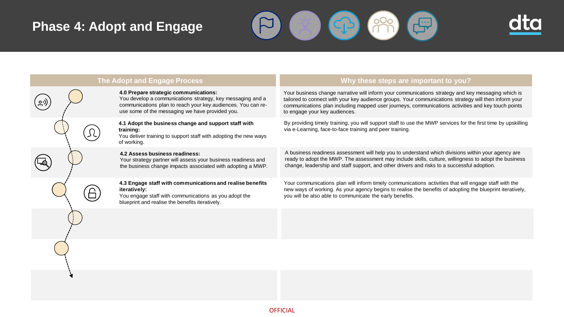## **Phase 4: Adopt and Engage**





| <b>The Adopt and Engage Process</b> |                                                                                                                                                                                                                        | Why these steps are important to you?                                                                                                                                                                                                                                                                                                              |
|-------------------------------------|------------------------------------------------------------------------------------------------------------------------------------------------------------------------------------------------------------------------|----------------------------------------------------------------------------------------------------------------------------------------------------------------------------------------------------------------------------------------------------------------------------------------------------------------------------------------------------|
|                                     | 4.0 Prepare strategic communications:<br>You develop a communications strategy, key messaging and a<br>communications plan to reach your key audiences. You can re-<br>use some of the messaging we have provided you. | Your business change narrative will inform your communications strategy and key messaging which is<br>tailored to connect with your key audience groups. Your communications strategy will then inform your<br>communications plan including mapped user journeys, communications activities and key touch points<br>to engage your key audiences. |
|                                     | 4.1 Adopt the business change and support staff with<br>training:<br>You deliver training to support staff with adopting the new ways<br>of working.                                                                   | By providing timely training, you will support staff to use the MWP services for the first time by upskilling<br>via e-Learning, face-to-face training and peer training.                                                                                                                                                                          |
|                                     | 4.2 Assess business readiness:<br>Your strategy partner will assess your business readiness and<br>the business change impacts associated with adopting a MWP.                                                         | A business readiness assessment will help you to understand which divisions within your agency are<br>ready to adopt the MWP. The assessment may include skills, culture, willingness to adopt the business<br>change, leadership and staff support, and other drivers and risks to a successful adoption.                                         |
|                                     | 4.3 Engage staff with communications and realise benefits<br>iteratively:<br>You engage staff with communications as you adopt the<br>blueprint and realise the benefits iteratively.                                  | Your communications plan will inform timely communications activities that will engage staff with the<br>new ways of working. As your agency begins to realise the benefits of adopting the blueprint iteratively,<br>you will be also able to communicate the early benefits.                                                                     |
|                                     |                                                                                                                                                                                                                        |                                                                                                                                                                                                                                                                                                                                                    |
|                                     |                                                                                                                                                                                                                        |                                                                                                                                                                                                                                                                                                                                                    |
|                                     |                                                                                                                                                                                                                        |                                                                                                                                                                                                                                                                                                                                                    |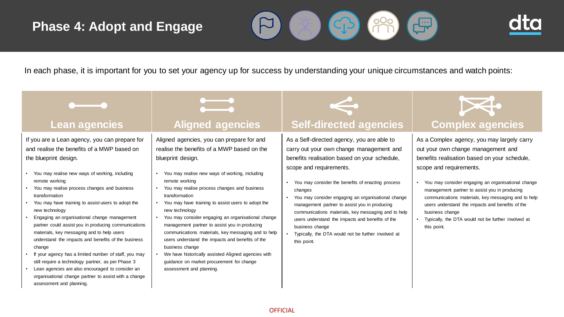## **Phase 4: Adopt and Engage**





In each phase, it is important for you to set your agency up for success by understanding your unique circumstances and watch points:

If you are a Lean agency, you can prepare for and realise the benefits of a MWP based on the blueprint design.

- You may realise new ways of working, including remote working
- You may realise process changes and business transformation
- You may have training to assist users to adopt the new technology
- Engaging an organisational change management partner could assist you in producing communications materials, key messaging and to help users understand the impacts and benefits of the business change
- If your agency has a limited number of staff, you may still require a technology partner, as per Phase 3
- Lean agencies are also encouraged to consider an organisational change partner to assist with a change assessment and planning.



Aligned agencies, you can prepare for and realise the benefits of a MWP based on the blueprint design.

- You may realise new ways of working, including remote working
- You may realise process changes and business transformation
- You may have training to assist users to adopt the new technology
- You may consider engaging an organisational change management partner to assist you in producing communications materials, key messaging and to help users understand the impacts and benefits of the business change
- We have historically assisted Aligned agencies with guidance on market procurement for change assessment and planning.



## **Lean agencies The Aligned agencies Theory Self-directed agencies | Complex agencies**

As a Self-directed agency, you are able to carry out your own change management and benefits realisation based on your schedule, scope and requirements.

- You may consider the benefits of enacting process changes
- You may consider engaging an organisational change management partner to assist you in producing communications materials, key messaging and to help users understand the impacts and benefits of the business change
- Typically, the DTA would not be further involved at this point.



As a Complex agency, you may largely carry out your own change management and benefits realisation based on your schedule, scope and requirements.

- You may consider engaging an organisational change management partner to assist you in producing communications materials, key messaging and to help users understand the impacts and benefits of the business change
- Typically, the DTA would not be further involved at this point.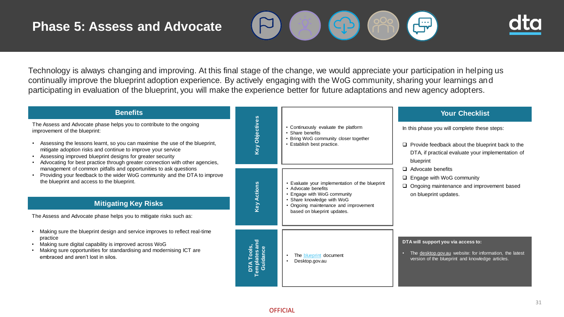



Technology is always changing and improving. At this final stage of the change, we would appreciate your participation in helping us continually improve the blueprint adoption experience. By actively engaging with the WoG community, sharing your learnings and participating in evaluation of the blueprint, you will make the experience better for future adaptations and new agency adopters.

| <b>Benefits</b>                                                                                                                                                                                                                                                                                                                                                                                   |                                                    |                                                                                                                                                                                                         | <b>Your Checklist</b>                                                                                                                                                                                                                                                                                           |
|---------------------------------------------------------------------------------------------------------------------------------------------------------------------------------------------------------------------------------------------------------------------------------------------------------------------------------------------------------------------------------------------------|----------------------------------------------------|---------------------------------------------------------------------------------------------------------------------------------------------------------------------------------------------------------|-----------------------------------------------------------------------------------------------------------------------------------------------------------------------------------------------------------------------------------------------------------------------------------------------------------------|
| The Assess and Advocate phase helps you to contribute to the ongoing<br>improvement of the blueprint:<br>Assessing the lessons learnt, so you can maximise the use of the blueprint,<br>mitigate adoption risks and continue to improve your service<br>Assessing improved blueprint designs for greater security<br>Advocating for best practice through greater connection with other agencies, | Key Objectives                                     | • Continuously evaluate the platform<br>• Share benefits<br>• Bring WoG community closer together<br>• Establish best practice.                                                                         | In this phase you will complete these steps:<br>$\Box$ Provide feedback about the blueprint back to the<br>DTA, if practical evaluate your implementation of<br>blueprint<br>$\Box$ Advocate benefits<br>$\Box$ Engage with WoG community<br>Ongoing maintenance and improvement based<br>on blueprint updates. |
| management of common pitfalls and opportunities to ask questions<br>Providing your feedback to the wider WoG community and the DTA to improve<br>the blueprint and access to the blueprint.<br><b>Mitigating Key Risks</b><br>The Assess and Advocate phase helps you to mitigate risks such as:                                                                                                  | <b>Key Actions</b>                                 | Evaluate your implementation of the blueprint<br>• Advocate benefits<br>• Engage with WoG community<br>Share knowledge with WoG<br>• Ongoing maintenance and improvement<br>based on blueprint updates. |                                                                                                                                                                                                                                                                                                                 |
| Making sure the blueprint design and service improves to reflect real-time<br>practice<br>Making sure digital capability is improved across WoG<br>Making sure opportunities for standardising and modernising ICT are<br>embraced and aren't lost in silos.                                                                                                                                      | DTA Tools,<br><sup>Templates and</sup><br>Guidance | The blueprint document<br>Desktop.gov.au                                                                                                                                                                | DTA will support you via access to:<br>The desktop.gov.au website: for information, the latest<br>version of the blueprint and knowledge articles.                                                                                                                                                              |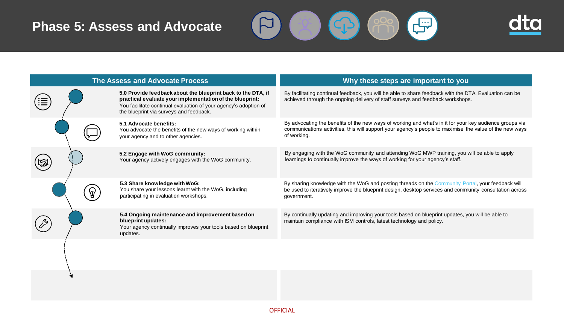## **Phase 5: Assess and Advocate**





| <b>The Assess and Advocate Process</b> |  |                                                                                                                                                                                                                                         | Why these steps are important to you                                                                                                                                                                                              |  |
|----------------------------------------|--|-----------------------------------------------------------------------------------------------------------------------------------------------------------------------------------------------------------------------------------------|-----------------------------------------------------------------------------------------------------------------------------------------------------------------------------------------------------------------------------------|--|
|                                        |  | 5.0 Provide feedback about the blueprint back to the DTA, if<br>practical evaluate your implementation of the blueprint:<br>You facilitate continual evaluation of your agency's adoption of<br>the blueprint via surveys and feedback. | By facilitating continual feedback, you will be able to share feedback with the DTA. Evaluation can be<br>achieved through the ongoing delivery of staff surveys and feedback workshops.                                          |  |
|                                        |  | 5.1 Advocate benefits:<br>You advocate the benefits of the new ways of working within<br>your agency and to other agencies.                                                                                                             | By advocating the benefits of the new ways of working and what's in it for your key audience groups via<br>communications activities, this will support your agency's people to maximise the value of the new ways<br>of working. |  |
|                                        |  | 5.2 Engage with WoG community:<br>Your agency actively engages with the WoG community.                                                                                                                                                  | By engaging with the WoG community and attending WoG MWP training, you will be able to apply<br>learnings to continually improve the ways of working for your agency's staff.                                                     |  |
|                                        |  | 5.3 Share knowledge with WoG:<br>You share your lessons learnt with the WoG, including<br>participating in evaluation workshops.                                                                                                        | By sharing knowledge with the WoG and posting threads on the Community Portal, your feedback will<br>be used to iteratively improve the blueprint design, desktop services and community consultation across<br>government.       |  |
|                                        |  | 5.4 Ongoing maintenance and improvement based on<br>blueprint updates:<br>Your agency continually improves your tools based on blueprint<br>updates.                                                                                    | By continually updating and improving your tools based on blueprint updates, you will be able to<br>maintain compliance with ISM controls, latest technology and policy.                                                          |  |
|                                        |  |                                                                                                                                                                                                                                         |                                                                                                                                                                                                                                   |  |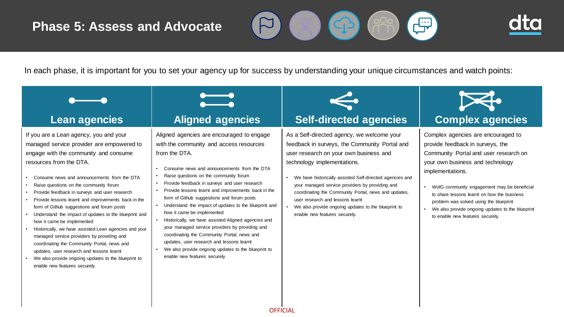## **Phase 5: Assess and Advocate**





In each phase, it is important for you to set your agency up for success by understanding your unique circumstances and watch points:

| Lean agencies                                                                                                                                                                                                                                                                                                                                                                                                                                                                                                                                                                                                                                                                                                                                                                            | <b>Aligned agencies</b>                                                                                                                                                                                                                                                                                                                                                                                                                                                                                                                                                                                                                                                                                                                   | <b>Self-directed agencies</b>                                                                                                                                                                                                                                                                                                                                                                                                                                                        | <b>Complex agencies</b>                                                                                                                                                                                                                                                                                                                                                                                     |
|------------------------------------------------------------------------------------------------------------------------------------------------------------------------------------------------------------------------------------------------------------------------------------------------------------------------------------------------------------------------------------------------------------------------------------------------------------------------------------------------------------------------------------------------------------------------------------------------------------------------------------------------------------------------------------------------------------------------------------------------------------------------------------------|-------------------------------------------------------------------------------------------------------------------------------------------------------------------------------------------------------------------------------------------------------------------------------------------------------------------------------------------------------------------------------------------------------------------------------------------------------------------------------------------------------------------------------------------------------------------------------------------------------------------------------------------------------------------------------------------------------------------------------------------|--------------------------------------------------------------------------------------------------------------------------------------------------------------------------------------------------------------------------------------------------------------------------------------------------------------------------------------------------------------------------------------------------------------------------------------------------------------------------------------|-------------------------------------------------------------------------------------------------------------------------------------------------------------------------------------------------------------------------------------------------------------------------------------------------------------------------------------------------------------------------------------------------------------|
| If you are a Lean agency, you and your<br>managed service provider are empowered to<br>engage with the community and consume<br>resources from the DTA.<br>Consume news and announcements from the DTA<br>Raise questions on the community forum<br>Provide feedback in surveys and user research<br>Provide lessons learnt and improvements back in the<br>form of Github suggestions and forum posts<br>Understand the impact of updates to the blueprint and<br>how it came be implemented<br>Historically, we have assisted Lean agencies and your<br>managed service providers by providing and<br>coordinating the Community Portal, news and<br>updates, user research and lessons learnt<br>We also provide ongoing updates to the blueprint to<br>enable new features securely. | Aligned agencies are encouraged to engage<br>with the community and access resources<br>from the DTA.<br>Consume news and announcements from the DTA<br>Raise questions on the community forum<br>Provide feedback in surveys and user research<br>Provide lessons learnt and improvements back in the<br>form of Github suggestions and forum posts<br>Understand the impact of updates to the blueprint and<br>how it came be implemented<br>Historically, we have assisted Aligned agencies and<br>your managed service providers by providing and<br>coordinating the Community Portal, news and<br>updates, user research and lessons learnt<br>We also provide ongoing updates to the blueprint to<br>enable new features securely. | As a Self-directed agency, we welcome your<br>feedback in surveys, the Community Portal and<br>user research on your own business and<br>technology implementations.<br>We have historically assisted Self-directed agencies and<br>$\bullet$<br>your managed service providers by providing and<br>coordinating the Community Portal, news and updates,<br>user research and lessons learnt<br>We also provide ongoing updates to the blueprint to<br>enable new features securely. | Complex agencies are encouraged to<br>provide feedback in surveys, the<br>Community Portal and user research on<br>your own business and technology<br>implementations.<br>• WofG community engagement may be beneficial<br>to share lessons learnt on how the business<br>problem was solved using the blueprint<br>• We also provide ongoing updates to the blueprint<br>to enable new features securely. |

**OFFICIAL**